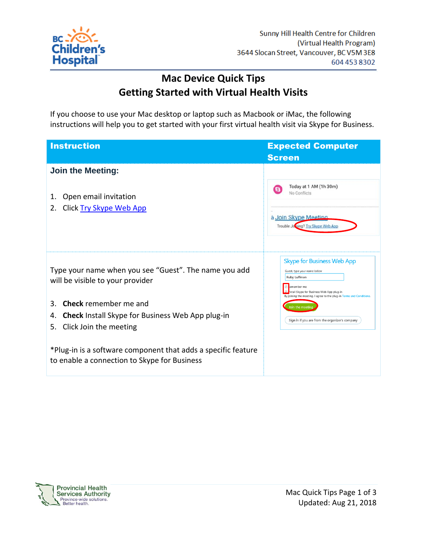

## **Mac Device Quick Tips Getting Started with Virtual Health Visits**

If you choose to use your Mac desktop or laptop such as Macbook or iMac, the following instructions will help you to get started with your first virtual health visit via Skype for Business.

| <b>Instruction</b>                                                                                                                  | <b>Expected Computer</b>                                                                                                                                                                                            |
|-------------------------------------------------------------------------------------------------------------------------------------|---------------------------------------------------------------------------------------------------------------------------------------------------------------------------------------------------------------------|
|                                                                                                                                     | <b>Screen</b>                                                                                                                                                                                                       |
| <b>Join the Meeting:</b>                                                                                                            |                                                                                                                                                                                                                     |
| Open email invitation<br>1.<br>Click Try Skype Web App<br>2.                                                                        | Today at 1 AM (1h 30m)<br>No Conflicts<br>à Join Skype Meeting<br>Trouble Jo bing? Try Skype Web App                                                                                                                |
| Type your name when you see "Guest". The name you add<br>will be visible to your provider                                           | <b>Skype for Business Web App</b><br>Guest, type your name below<br>Ruby Luffman<br>emember me<br>astall Skype for Business Web App plug-in<br>By joining the meeting, I agree to the plug-in Terms and Conditions, |
| <b>Check</b> remember me and<br>3.<br><b>Check</b> Install Skype for Business Web App plug-in<br>4.<br>Click Join the meeting<br>5. | in the meet<br>Sign in if you are from the organizer's company                                                                                                                                                      |
| *Plug-in is a software component that adds a specific feature<br>to enable a connection to Skype for Business                       |                                                                                                                                                                                                                     |

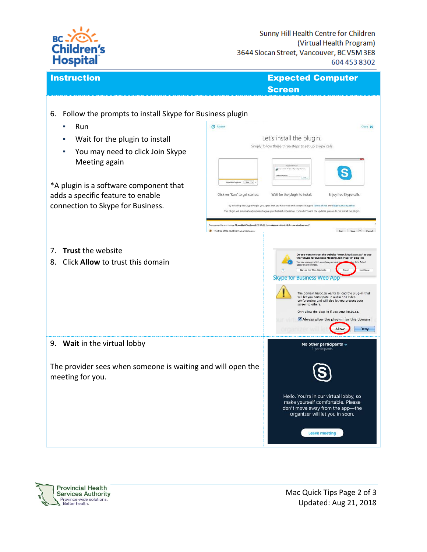

**Instruction Expected Computer** Screen

| 6. Follow the prompts to install Skype for Business plugin<br>Run<br>٠                                                                                                                                  | C Restart<br>Close X                                                                                                                                                                                                                                                                                                                                                                                                                                                                                                                                                                                                                                                                                                                                   |
|---------------------------------------------------------------------------------------------------------------------------------------------------------------------------------------------------------|--------------------------------------------------------------------------------------------------------------------------------------------------------------------------------------------------------------------------------------------------------------------------------------------------------------------------------------------------------------------------------------------------------------------------------------------------------------------------------------------------------------------------------------------------------------------------------------------------------------------------------------------------------------------------------------------------------------------------------------------------------|
| Wait for the plugin to install<br>You may need to click Join Skype<br>Meeting again<br>*A plugin is a software component that<br>adds a specific feature to enable<br>connection to Skype for Business. | Let's install the plugin.<br>Simply follow these three steps to set up Skype calls<br><b>Mypermentures and Electrical</b><br>Click on "Run" to get started.<br>Wait for the plugin to install.<br>Enjoy free Skype calls.<br>By installing the Skype Plugin, you agree that you have read and accepted Skype's Terms of Use and Skype's privacy policy.<br>This plugin will automatically update to give you the best experience. If you don't want the updates, please do not install the plugin.                                                                                                                                                                                                                                                     |
| 7. Trust the website<br>Click Allow to trust this domain<br>8.                                                                                                                                          | Do you want to run or save SkypeWebPlugkumsi (13.9 MB) from skypewslatest.blob.core.windows.net?<br>Run Save . Cancel<br>This type of file could harm your computer,<br>Do you want to trust the website "meet.kloud was " to us<br>the "Skype for Business Meeting Join Plug-in" plug-in?<br>ou can manage which websites you trust to<br>n Safari<br>urity preferences<br>Never for This Website<br>Trust<br>Not Now<br><b>Skype for Business Web App</b><br>The domain hssbc.ca wants to load the plug-in that<br>will let you participate in audio and video<br>conferencing and will also let you present your<br>screen to others.<br>Only allow the plug-in if you trust hssbc.ca.<br>Always allow the plug-in for this domain<br>Allow<br>Deny |
| 9. Wait in the virtual lobby<br>The provider sees when someone is waiting and will open the<br>meeting for you.                                                                                         | No other participants $\sim$<br>1 participants<br>Hello. You're in our virtual lobby, so<br>make yourself comfortable. Please<br>don't move away from the app-the<br>organizer will let you in soon.<br><b>Leave meeting</b>                                                                                                                                                                                                                                                                                                                                                                                                                                                                                                                           |